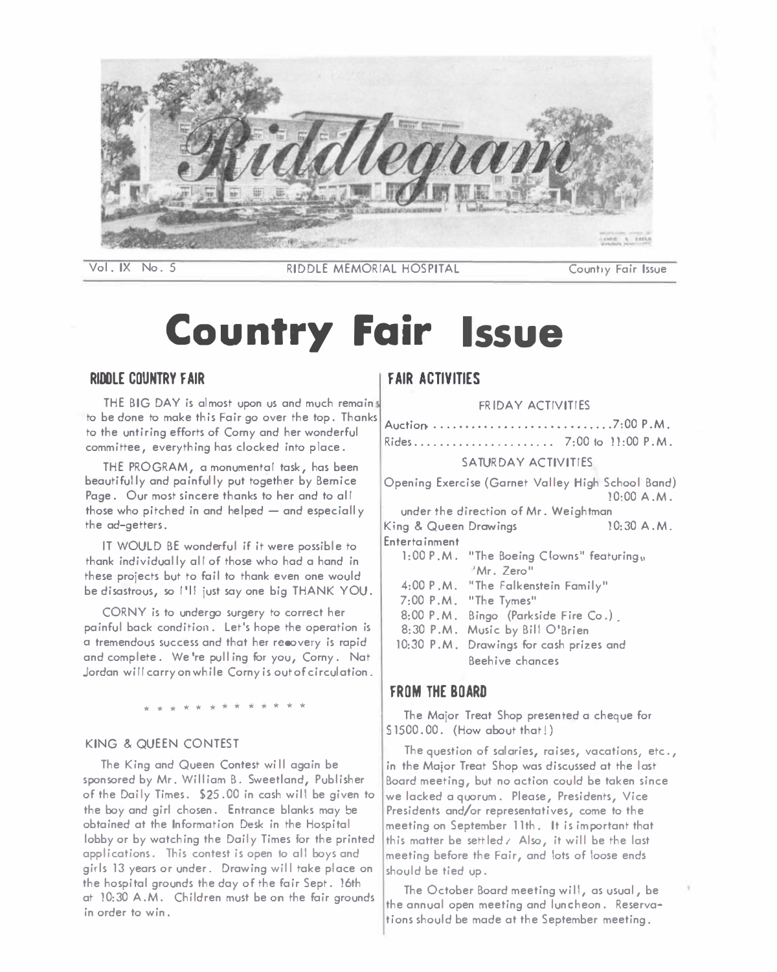

**Vol. IX No. 5 RIDDLE MEMORIAL HOSPITAL Country Fair Issue** 

# **Country Fair Issue**

## **RIOOLE COUNTRY FAIR**

**THE BIG DAY is almost upon us and much remain to be done to make this Fair go over the top. Thanks to the untiring efforts of Corny and her wonderful committee, everything has clocked into p lace.** 

**THE PROGRAM, a monumental task, has been beautifully and painfully put together by Bernice**  Page. Our most sincere thanks to her and to all **those who pitched in and helped - and especially the ad-getters.** 

**IT WOULD BE wonderful if it were possible to**  thank individually all of those who had a hand in **these projects but to fail to thank even one would be disastrous, so I 'II just say one big THANK YOU.** 

**CORNY is to undergo surgery to correct her painful back condition. let's hope the operation is a tremendous success and that her recovery is rapid and complete. We 're pu II ing for you, Corny. Nat Jordan wi II carry on while Corny is out of circulation.** 

\* \* \* \* \* \* \* \* \* \* \* \* \*

#### **KING & QUEEN CONTEST**

**The King and Queen Contest wi II again be sponsored by Mr. William B. Sweetland, Publisher of the Daily Times. \$25.00 in cash will be given to the bay and girl chosen. Entrance blanks may be obtained at the Information Desk in the Hospital lobby or by watching the Doily Times for the printed applications. This contest is open to all bays and girls 13 years or under. Drawing wil I take place on the hospital grounds the day of the fair Sept. 16th at 10:30 A.M. Children must be on the fair grounds in order to win.** 

## **FAIR AC TIVITIES**

**FRIDAY ACTIVITIES** 

| Rides 7:00 to 11:00 P.M.                          |  |  |  |
|---------------------------------------------------|--|--|--|
| SATURDAY ACTIVITIES.                              |  |  |  |
| Opening Exercise (Garnet Valley High School Band) |  |  |  |

**10:00 A.M. under the direction of Mr. Weightman**  King & Queen Drawings 10:30 A.M. **Entertainment 1:00 P .M. "The Boeing Clowns" featuring,, 'Mr. Zero" 4:00 P .M. "The Falkenstein Family" 7:00 P.M. "The Tymes" 8:00 P. M. Bingo (Parkside Fire Co.) . 8:30 P.M. Music by Bill O'Brien 10:30 P.M. Drawings for cash prizes and Beehive chances** 

## **FROM THE BOARD**

**The Major Treat Shop presented a cheque for S 1500. 00. (How about that!)** 

**The question of salaries, raises, vacations, etc., in the Major Treat Shop was discussed at the last Board meeting, but no action could be taken since we lacked a quorum. Please, Presidents, Vice Presidents and/or representatives, come to the meeting on September 11th. It is important that this matter be sett led** *I* **Also, it wi II be the last meeting before the Fair, and lots of loose ends should be tied up.** 

**The October Board meeting wi 11, as usual, be the annual open meeting and luncheon. Reservations should be made at the September meeting.**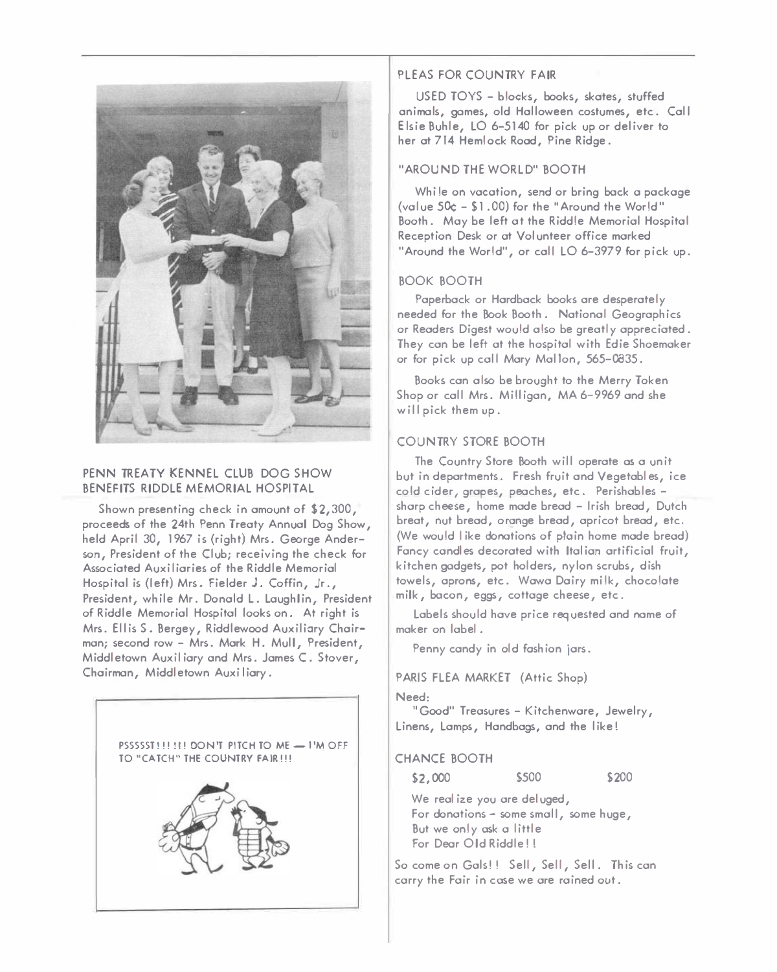

# **PENN TREATY KENNEL CLUB DOG SHOW BENEFITS RIDDLE MEMORIAL HOSPITAL**

**Shown presenting check in amount of \$2,300, proceeds of the 24th Penn Treaty Annual Dog Show, held April 30, 1967 is (right) Mrs. George Anderson, President of the Club; receiving the check for Associated Auxiliaries of the Riddle Memorial Hospital is (I eft) Mrs. Fie Ider J. Coffin, Jr., President, while Mr. Donald L. Loughlin, President of Riddle Memorial Hospital looks on. At right is Mrs. Ellis S. Bergey, Riddlewood Auxil iory Chairman; second row - Mrs. Mork H. Mull, President, Middletown Aux ii iory and Mrs. Jomes C. Stover, Chairman, Middletown Auxi liory.** 



# **PLEAS FOR COUNTRY FAIR**

**USED TOYS - blocks, books, skates, stuffed**  animals, games, old Halloween costumes, etc. Call **Elsie Buh le, LO 6-5140 for pick up or deliver to her ot 714 Hemlock Rood, Pine Ridge.** 

# **"AROUND THE WORLD" BOOTH**

**While on vocation, send or bring bock o package (value 5� - \$1.00) for the "Around the World" Booth. Moy be left ot the Riddle Memorial Hospital Reception Desk or ot Volunteer office marked**  "Around the World", or call LO 6-3979 for pick up.

# **BOOK BOOTH**

**Paperback or Hardback books ore desperately needed for the Book Booth. Notional Geographies or Readers Digest would also be greatly appreciated. They con be left ot the hospital with Edie Shoemaker or for pick up coll Mory Mallon, 565-0035.** 

**Books con also be brought to the Merry Token Shop or coll Mrs. Milligan, MA 6-9969 and she will pick them up.** 

# **COUNTRY STORE BOOTH**

**The Country Store Booth will operate os o unit but in deportments. Fresh fruit and Vegetobl es, ice cold cider, gropes, peoches, etc. Perishables sharp cheese, home mode bread - Irish bread, Dutch**  breat, nut bread, orange bread, apricot bread, etc. **(We would I ike donations of plain home mode bread) Foney candles decorated with Italian artificial fruit, kitchen gadgets, pot holders, nylon scrubs, dish towels, aprons, etc. Wowo Dairy milk, chocolate .milk, bocon, eggs, cottage cheese, etc.** 

**Labels should hove price requested and name of maker on label .** 

**Penny candy in old fashion jars.** 

**PARIS FLEA MARKET (Attic Shop)** 

**Need:** 

**"Good" Treasures - Kitchenware, Jewelry, Linens, Lamps, Handbags, and the like!** 

## **CHANCE BOOTH**

**\$2,000 \$500** 

**\$200** 

**We realize you ore deluged, For donations - some smol I, some huge, But we only ask o little For Deor Old Riddle! !** 

**So come on Gals!! Sell, Sell, Sell. This con carry the Fair in case we ore rained out.**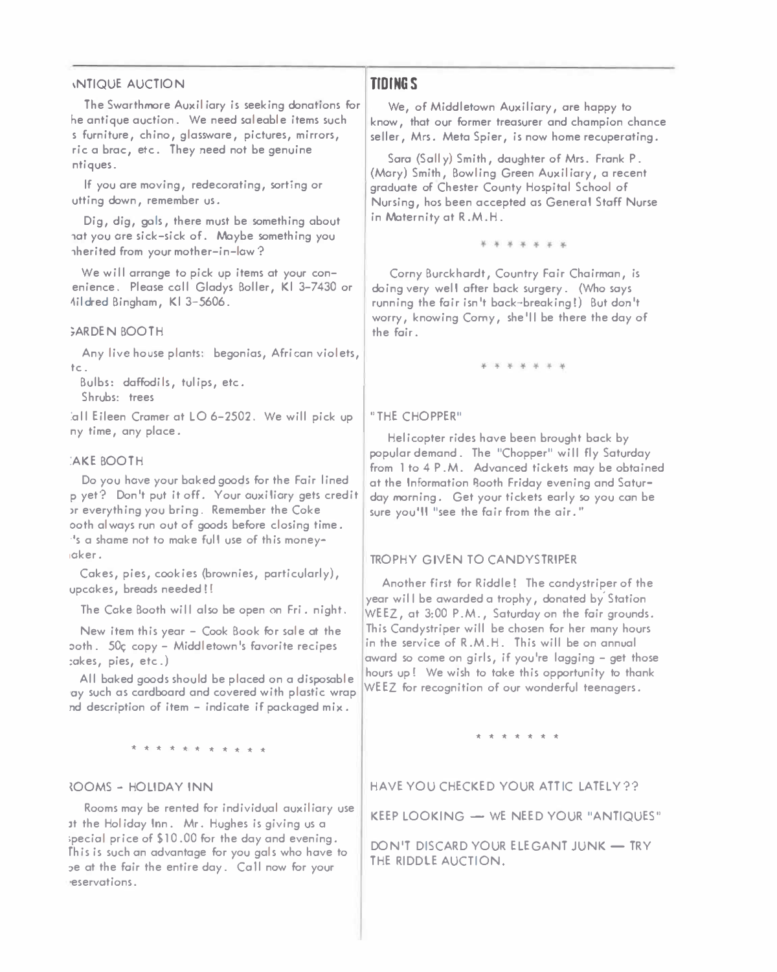#### **1NTIQUE AUCTION**

**The Swarthmore Auxiliary is seeking donations for he antique auction. We need saleable items such s furniture, chino, glassware, pictures, mirrors, ric a brae, etc. They need not be genuine ntiques.** 

**If you ore moving, redecorating, sorting or utting down, remember us.** 

**Dig, dig, gals, there must be something about 1ot you ore sick-sick of. Maybe something you 1herited from your mother-in-low?** 

**We will arrange to pick up items at your conenience. Please coll Gladys Boller, Kl 3-7430 or �il dred Bingham, Kl 3-5606.** 

#### **,ARDEN BOOTH**

**Any live house plants: begonias, African violets, tc.** 

**Bulbs: daffodils, tulips, etc. Shrubs: trees** 

**:all Eileen Cromer at LO 6-2502. We will pick up ny time, any place.** 

#### **:AKE BOOTH**

**Do you hove your baked goods for the Fair lined p yet? Don't put it off. Your auxiliary gets credit >r everything you bring. Remember the Coke ooth always run out of goods before closing time. ·'s a shame not to make ful I use of th is money ,oker.** 

**Cokes, pies, cookies (brownies, particularly), upcokes, breads needed! !** 

**The Coke Booth wi II also be open on Fri . night.** 

**New item this year - Cook Book for sole at the :,oth. 50c; copy - Middletown's favorite recipes :okes, pies, etc.)** 

**All baked goods should be placed on a disposable ·oy such as cardboard and covered with plastic wrap nd description of item - indicate if packaged mix.** 

\* \* \* \* \* \* \* \* \* \* \*

#### *iOOMS* **- HOLIDAY INN**

**Rooms may be rented for individual auxiliary use lt the Hal idoy Inn. Mr. Hughes is giving us a**  special price of \$10.00 for the day and evening. **fhis is such on advantage for you gals who hove to :,e at the fair the entire day. Coll now for your ·eservotions.** 

# **TIDI***N***G***S*

**We, of Middletown Auxiliary, ore happy to know, that our former treasurer and champion chance**  seller, Mrs. Meta Spier, is now home recuperating.

**Soro (Solly) Smith, daughter of Mrs. Fronk P. (Mory) Smith, Bowling Green Auxiliary, a recent graduate of Chester County Hospital School of Nursing, hos been accepted as General Stoff Nurse in Maternity at R.M.H.** 

\* \* \* \* \* \* \*

**Corny Burckhordt, Country Fair Chairman, is doing very well ofter bock surgery. (Who soys running the fair isn't bock-breaking!) But don't worry, knowing Comy, she 'II be there the day of the fair.** 

\* \* \* \* \* \* \*

#### **"THE CHOPPER"**

**Helicopter rides hove been brought bock by popular demand. The "Chopper" wi II fly Saturday from 1 to 4 P .M. Advanced tickets may be obtained**  at the Information **Booth Friday evening and Saturday morning. Get your tickets early so you con be sure you'll "see the fair from the air."** 

#### **TROPHY GIVEN TO CANDYSTRIPER**

**Another first for Riddle! The condystriper of the year wil I be awarded a trophy, donated by' Station WEEZ, at 3:00 P.M., Saturday on the fair grounds. This Condystriper will be chosen for her many hours in the service of R.M.H. This will be on annual award so come on girls, if you're logging - get those hours up! We wish to toke this opportunity to thank WEEZ for recognition of our wonderful teenagers.** 

# \*\*\*\*\*\*\*

**HAVE YOU CHECKED YOUR ATTIC LATELY??** 

**KEEP LOOKING - WE NEED YOUR "ANTIQUES"** 

**DON'T DISCARD YOUR ELEGANT JUNK - TRY THE RIDDLE AUCTION.**